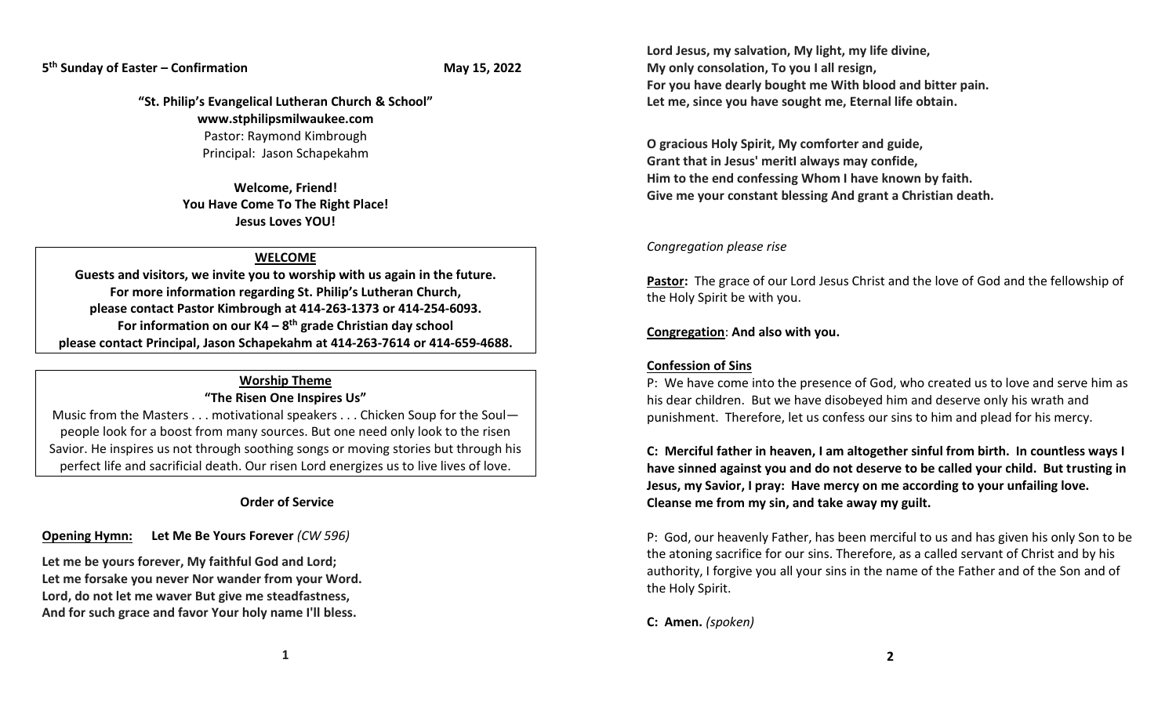## **5 th Sunday of Easter – Confirmation May 15, 2022**

**"St. Philip's Evangelical Lutheran Church & School" www.stphilipsmilwaukee.com** Pastor: Raymond Kimbrough Principal: Jason Schapekahm

> **Welcome, Friend! You Have Come To The Right Place! Jesus Loves YOU!**

## **WELCOME**

**Guests and visitors, we invite you to worship with us again in the future. For more information regarding St. Philip's Lutheran Church, please contact Pastor Kimbrough at 414-263-1373 or 414-254-6093. For information on our K4 – 8 th grade Christian day school please contact Principal, Jason Schapekahm at 414-263-7614 or 414-659-4688.**

## **Worship Theme "The Risen One Inspires Us"**

Music from the Masters . . . motivational speakers . . . Chicken Soup for the Soul people look for a boost from many sources. But one need only look to the risen Savior. He inspires us not through soothing songs or moving stories but through his perfect life and sacrificial death. Our risen Lord energizes us to live lives of love.

## **Order of Service**

**Opening Hymn: Let Me Be Yours Forever** *(CW 596)*

**Let me be yours forever, My faithful God and Lord; Let me forsake you never Nor wander from your Word. Lord, do not let me waver But give me steadfastness, And for such grace and favor Your holy name I'll bless.**

**Lord Jesus, my salvation, My light, my life divine, My only consolation, To you I all resign, For you have dearly bought me With blood and bitter pain. Let me, since you have sought me, Eternal life obtain.**

**O gracious Holy Spirit, My comforter and guide, Grant that in Jesus' meritI always may confide, Him to the end confessing Whom I have known by faith. Give me your constant blessing And grant a Christian death.**

### *Congregation please rise*

**Pastor:** The grace of our Lord Jesus Christ and the love of God and the fellowship of the Holy Spirit be with you.

#### **Congregation**: **And also with you.**

## **Confession of Sins**

P: We have come into the presence of God, who created us to love and serve him as his dear children. But we have disobeyed him and deserve only his wrath and punishment. Therefore, let us confess our sins to him and plead for his mercy.

**C: Merciful father in heaven, I am altogether sinful from birth. In countless ways I have sinned against you and do not deserve to be called your child. But trusting in Jesus, my Savior, I pray: Have mercy on me according to your unfailing love. Cleanse me from my sin, and take away my guilt.**

P: God, our heavenly Father, has been merciful to us and has given his only Son to be the atoning sacrifice for our sins. Therefore, as a called servant of Christ and by his authority, I forgive you all your sins in the name of the Father and of the Son and of the Holy Spirit.

**C: Amen.** *(spoken)*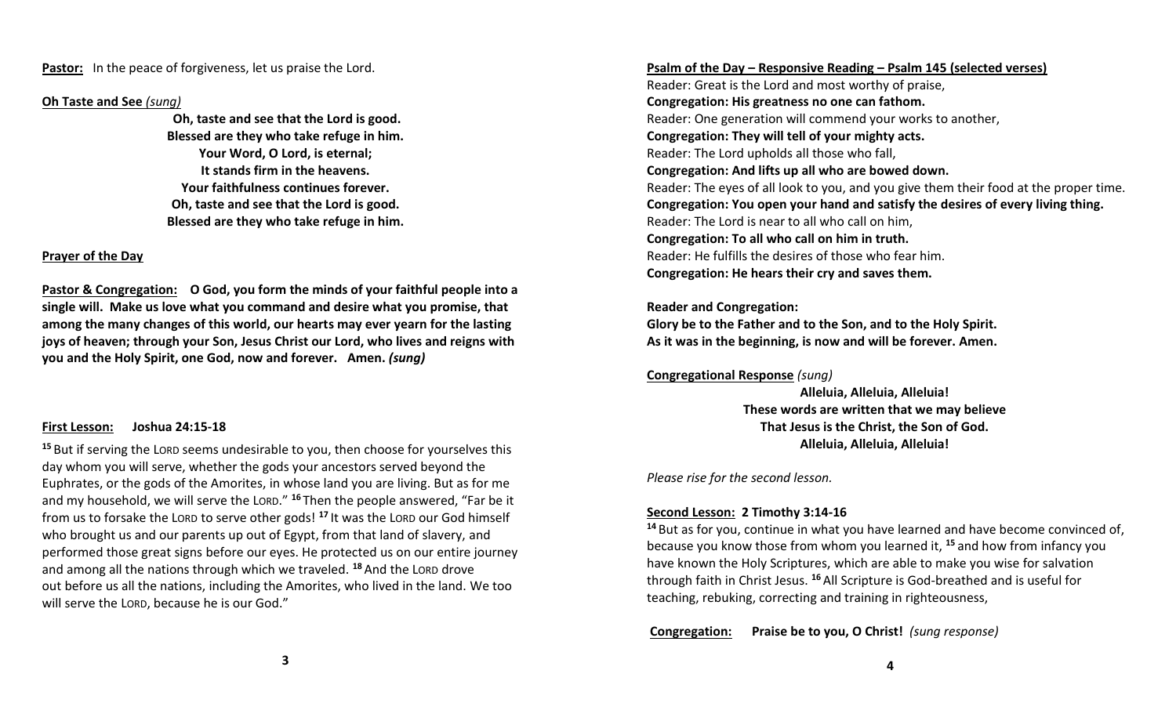**Pastor:** In the peace of forgiveness, let us praise the Lord.

## **Oh Taste and See** *(sung)*

**Oh, taste and see that the Lord is good. Blessed are they who take refuge in him. Your Word, O Lord, is eternal; It stands firm in the heavens. Your faithfulness continues forever. Oh, taste and see that the Lord is good. Blessed are they who take refuge in him.**

## **Prayer of the Day**

**Pastor & Congregation: O God, you form the minds of your faithful people into a single will. Make us love what you command and desire what you promise, that among the many changes of this world, our hearts may ever yearn for the lasting joys of heaven; through your Son, Jesus Christ our Lord, who lives and reigns with you and the Holy Spirit, one God, now and forever. Amen.** *(sung)*

## **First Lesson: Joshua 24:15-18**

**<sup>15</sup>** But if serving the LORD seems undesirable to you, then choose for yourselves this day whom you will serve, whether the gods your ancestors served beyond the Euphrates, or the gods of the Amorites, in whose land you are living. But as for me and my household, we will serve the LORD." **<sup>16</sup>** Then the people answered, "Far be it from us to forsake the LORD to serve other gods! **<sup>17</sup>** It was the LORD our God himself who brought us and our parents up out of Egypt, from that land of slavery, and performed those great signs before our eyes. He protected us on our entire journey and among all the nations through which we traveled. **<sup>18</sup>** And the LORD drove out before us all the nations, including the Amorites, who lived in the land. We too will serve the LORD, because he is our God."

## **Psalm of the Day – Responsive Reading – Psalm 145 (selected verses)**

Reader: Great is the Lord and most worthy of praise, **Congregation: His greatness no one can fathom.** Reader: One generation will commend your works to another, **Congregation: They will tell of your mighty acts.** Reader: The Lord upholds all those who fall, **Congregation: And lifts up all who are bowed down.** Reader: The eyes of all look to you, and you give them their food at the proper time. **Congregation: You open your hand and satisfy the desires of every living thing.** Reader: The Lord is near to all who call on him, **Congregation: To all who call on him in truth.** Reader: He fulfills the desires of those who fear him. **Congregation: He hears their cry and saves them.**

## **Reader and Congregation:**

**Glory be to the Father and to the Son, and to the Holy Spirit. As it was in the beginning, is now and will be forever. Amen.**

## **Congregational Response** *(sung)*

**Alleluia, Alleluia, Alleluia! These words are written that we may believe That Jesus is the Christ, the Son of God. Alleluia, Alleluia, Alleluia!** 

*Please rise for the second lesson.*

## **Second Lesson: 2 Timothy 3:14-16**

**<sup>14</sup>** But as for you, continue in what you have learned and have become convinced of, because you know those from whom you learned it, **<sup>15</sup>** and how from infancy you have known the Holy Scriptures, which are able to make you wise for salvation through faith in Christ Jesus. **<sup>16</sup>** All Scripture is God-breathed and is useful for teaching, rebuking, correcting and training in righteousness,

**Congregation: Praise be to you, O Christ!** *(sung response)*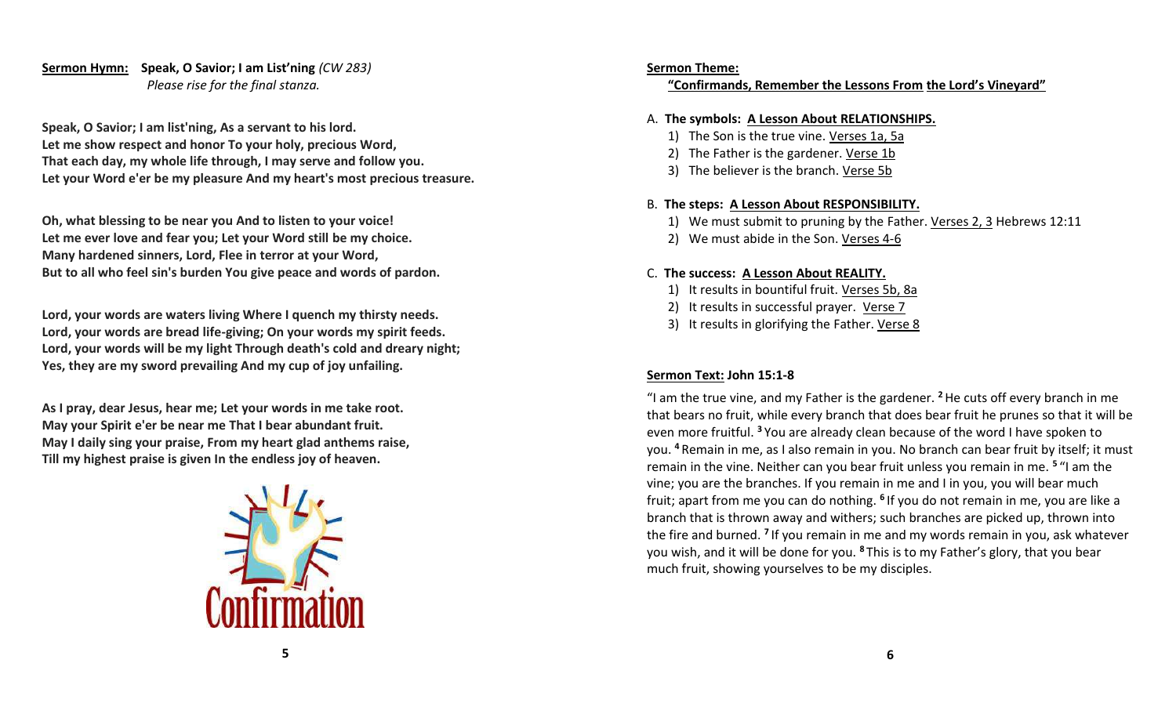# **Sermon Hymn: Speak, O Savior; I am List'ning** *(CW 283) Please rise for the final stanza.*

**Speak, O Savior; I am list'ning, As a servant to his lord. Let me show respect and honor To your holy, precious Word, That each day, my whole life through, I may serve and follow you. Let your Word e'er be my pleasure And my heart's most precious treasure.**

**Oh, what blessing to be near you And to listen to your voice! Let me ever love and fear you; Let your Word still be my choice. Many hardened sinners, Lord, Flee in terror at your Word, But to all who feel sin's burden You give peace and words of pardon.**

**Lord, your words are waters living Where I quench my thirsty needs. Lord, your words are bread life-giving; On your words my spirit feeds. Lord, your words will be my light Through death's cold and dreary night; Yes, they are my sword prevailing And my cup of joy unfailing.**

**As I pray, dear Jesus, hear me; Let your words in me take root. May your Spirit e'er be near me That I bear abundant fruit. May I daily sing your praise, From my heart glad anthems raise, Till my highest praise is given In the endless joy of heaven.**



## **Sermon Theme:**

# **"Confirmands, Remember the Lessons From the Lord's Vineyard"**

# A. **The symbols: A Lesson About RELATIONSHIPS.**

- 1) The Son is the true vine. Verses 1a, 5a
- 2) The Father is the gardener. Verse 1b
- 3) The believer is the branch. Verse 5b

# B. **The steps: A Lesson About RESPONSIBILITY.**

- 1) We must submit to pruning by the Father. Verses 2, 3 Hebrews 12:11
- 2) We must abide in the Son. Verses 4-6

# C. **The success: A Lesson About REALITY.**

- 1) It results in bountiful fruit. Verses 5b, 8a
- 2) It results in successful prayer. Verse 7
- 3) It results in glorifying the Father. Verse 8

# **Sermon Text: John 15:1-8**

"I am the true vine, and my Father is the gardener. **<sup>2</sup>**He cuts off every branch in me that bears no fruit, while every branch that does bear fruit he prunes so that it will be even more fruitful. **<sup>3</sup>** You are already clean because of the word I have spoken to you. **<sup>4</sup>** Remain in me, as I also remain in you. No branch can bear fruit by itself; it must remain in the vine. Neither can you bear fruit unless you remain in me. **<sup>5</sup>** "I am the vine; you are the branches. If you remain in me and I in you, you will bear much fruit; apart from me you can do nothing. **<sup>6</sup>** If you do not remain in me, you are like a branch that is thrown away and withers; such branches are picked up, thrown into the fire and burned. **<sup>7</sup>** If you remain in me and my words remain in you, ask whatever you wish, and it will be done for you. **<sup>8</sup>** This is to my Father's glory, that you bear much fruit, showing yourselves to be my disciples.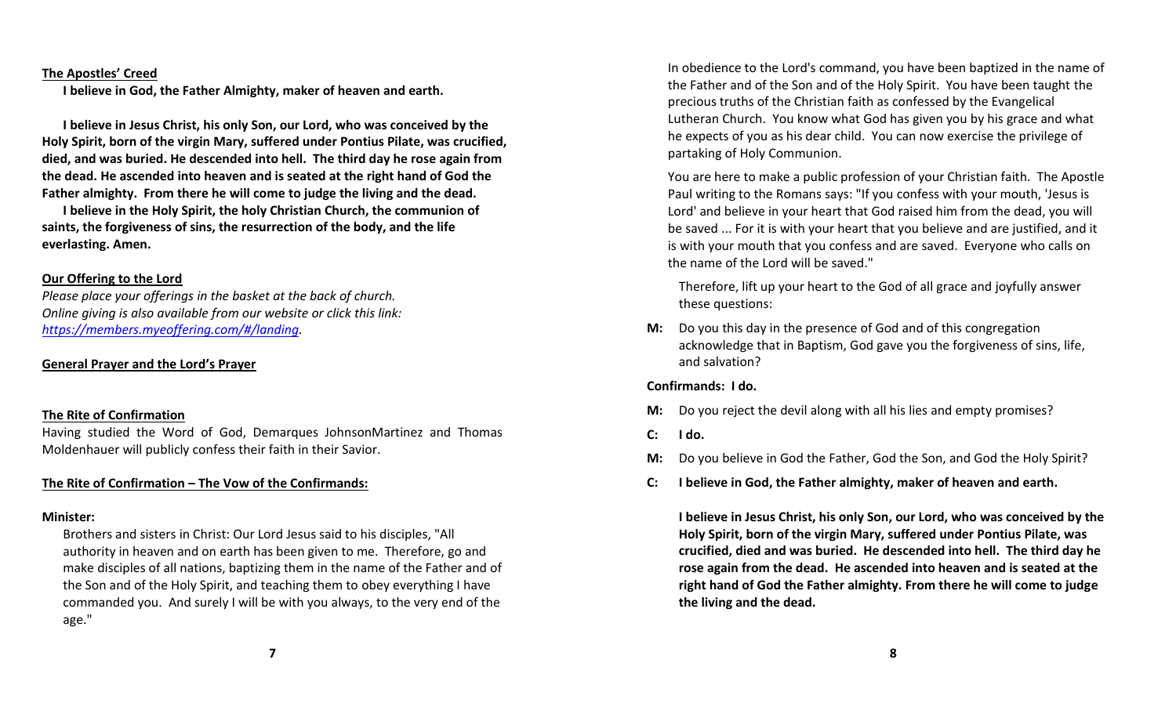#### **The Apostles' Creed**

**I believe in God, the Father Almighty, maker of heaven and earth.** 

**I believe in Jesus Christ, his only Son, our Lord, who was conceived by the Holy Spirit, born of the virgin Mary, suffered under Pontius Pilate, was crucified, died, and was buried. He descended into hell. The third day he rose again from the dead. He ascended into heaven and is seated at the right hand of God the Father almighty. From there he will come to judge the living and the dead.**

**I believe in the Holy Spirit, the holy Christian Church, the communion of saints, the forgiveness of sins, the resurrection of the body, and the life everlasting. Amen.**

#### **Our Offering to the Lord**

*Please place your offerings in the basket at the back of church. Online giving is also available from our website or click this link: [https://members.myeoffering.com/#/landing.](https://members.myeoffering.com/#/landing)*

## **General Prayer and the Lord's Prayer**

#### **The Rite of Confirmation**

Having studied the Word of God, Demarques JohnsonMartinez and Thomas Moldenhauer will publicly confess their faith in their Savior.

#### **The Rite of Confirmation – The Vow of the Confirmands:**

#### **Minister:**

Brothers and sisters in Christ: Our Lord Jesus said to his disciples, "All authority in heaven and on earth has been given to me. Therefore, go and make disciples of all nations, baptizing them in the name of the Father and of the Son and of the Holy Spirit, and teaching them to obey everything I have commanded you. And surely I will be with you always, to the very end of the age."

In obedience to the Lord's command, you have been baptized in the name of the Father and of the Son and of the Holy Spirit. You have been taught the precious truths of the Christian faith as confessed by the Evangelical Lutheran Church. You know what God has given you by his grace and what he expects of you as his dear child. You can now exercise the privilege of partaking of Holy Communion.

You are here to make a public profession of your Christian faith. The Apostle Paul writing to the Romans says: "If you confess with your mouth, 'Jesus is Lord' and believe in your heart that God raised him from the dead, you will be saved ... For it is with your heart that you believe and are justified, and it is with your mouth that you confess and are saved. Everyone who calls on the name of the Lord will be saved."

Therefore, lift up your heart to the God of all grace and joyfully answer these questions:

**M:** Do you this day in the presence of God and of this congregation acknowledge that in Baptism, God gave you the forgiveness of sins, life, and salvation?

## **Confirmands: I do.**

- **M:** Do you reject the devil along with all his lies and empty promises?
- **C: I do.**
- **M:** Do you believe in God the Father, God the Son, and God the Holy Spirit?
- **C: I believe in God, the Father almighty, maker of heaven and earth.**

**I believe in Jesus Christ, his only Son, our Lord, who was conceived by the Holy Spirit, born of the virgin Mary, suffered under Pontius Pilate, was crucified, died and was buried. He descended into hell. The third day he rose again from the dead. He ascended into heaven and is seated at the right hand of God the Father almighty. From there he will come to judge the living and the dead.**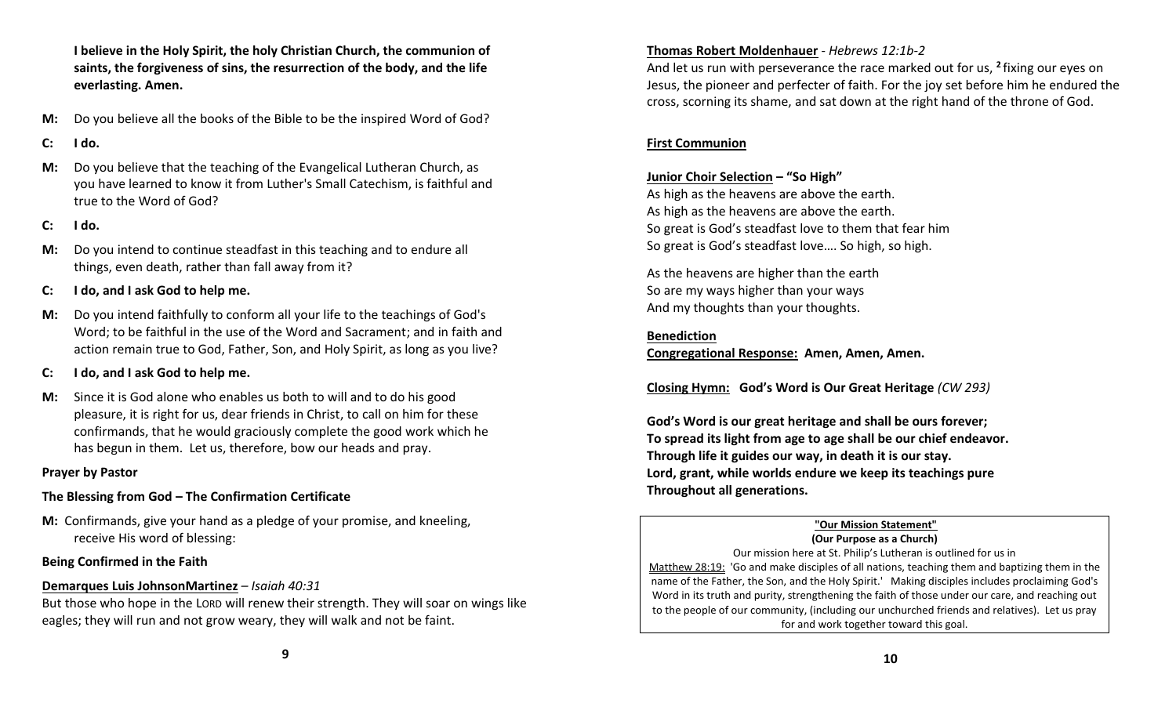**I believe in the Holy Spirit, the holy Christian Church, the communion of saints, the forgiveness of sins, the resurrection of the body, and the life everlasting. Amen.**

- **M:** Do you believe all the books of the Bible to be the inspired Word of God?
- **C: I do.**
- **M:** Do you believe that the teaching of the Evangelical Lutheran Church, as you have learned to know it from Luther's Small Catechism, is faithful and true to the Word of God?
- **C: I do.**
- **M:** Do you intend to continue steadfast in this teaching and to endure all things, even death, rather than fall away from it?
- **C: I do, and I ask God to help me.**
- **M:** Do you intend faithfully to conform all your life to the teachings of God's Word; to be faithful in the use of the Word and Sacrament; and in faith and action remain true to God, Father, Son, and Holy Spirit, as long as you live?
- **C: I do, and I ask God to help me.**
- **M:** Since it is God alone who enables us both to will and to do his good pleasure, it is right for us, dear friends in Christ, to call on him for these confirmands, that he would graciously complete the good work which he has begun in them. Let us, therefore, bow our heads and pray.

# **Prayer by Pastor**

# **The Blessing from God – The Confirmation Certificate**

**M:** Confirmands, give your hand as a pledge of your promise, and kneeling, receive His word of blessing:

# **Being Confirmed in the Faith**

# **Demarques Luis JohnsonMartinez** *– Isaiah 40:31*

But those who hope in the LORD will renew their strength. They will soar on wings like eagles; they will run and not grow weary, they will walk and not be faint.

# **Thomas Robert Moldenhauer** - *Hebrews 12:1b-2*

And let us run with perseverance the race marked out for us, **<sup>2</sup>** fixing our eyes on Jesus, the pioneer and perfecter of faith. For the joy set before him he endured the cross, scorning its shame, and sat down at the right hand of the throne of God.

# **First Communion**

# **Junior Choir Selection – "So High"**

As high as the heavens are above the earth. As high as the heavens are above the earth. So great is God's steadfast love to them that fear him So great is God's steadfast love…. So high, so high.

As the heavens are higher than the earth So are my ways higher than your ways And my thoughts than your thoughts.

# **Benediction**

**Congregational Response: Amen, Amen, Amen.**

**Closing Hymn: God's Word is Our Great Heritage** *(CW 293)*

**God's Word is our great heritage and shall be ours forever; To spread its light from age to age shall be our chief endeavor. Through life it guides our way, in death it is our stay. Lord, grant, while worlds endure we keep its teachings pure Throughout all generations.** 

# **"Our Mission Statement"**

**(Our Purpose as a Church)** Our mission here at St. Philip's Lutheran is outlined for us in Matthew 28:19: 'Go and make disciples of all nations, teaching them and baptizing them in the name of the Father, the Son, and the Holy Spirit.' Making disciples includes proclaiming God's Word in its truth and purity, strengthening the faith of those under our care, and reaching out to the people of our community, (including our unchurched friends and relatives). Let us pray for and work together toward this goal.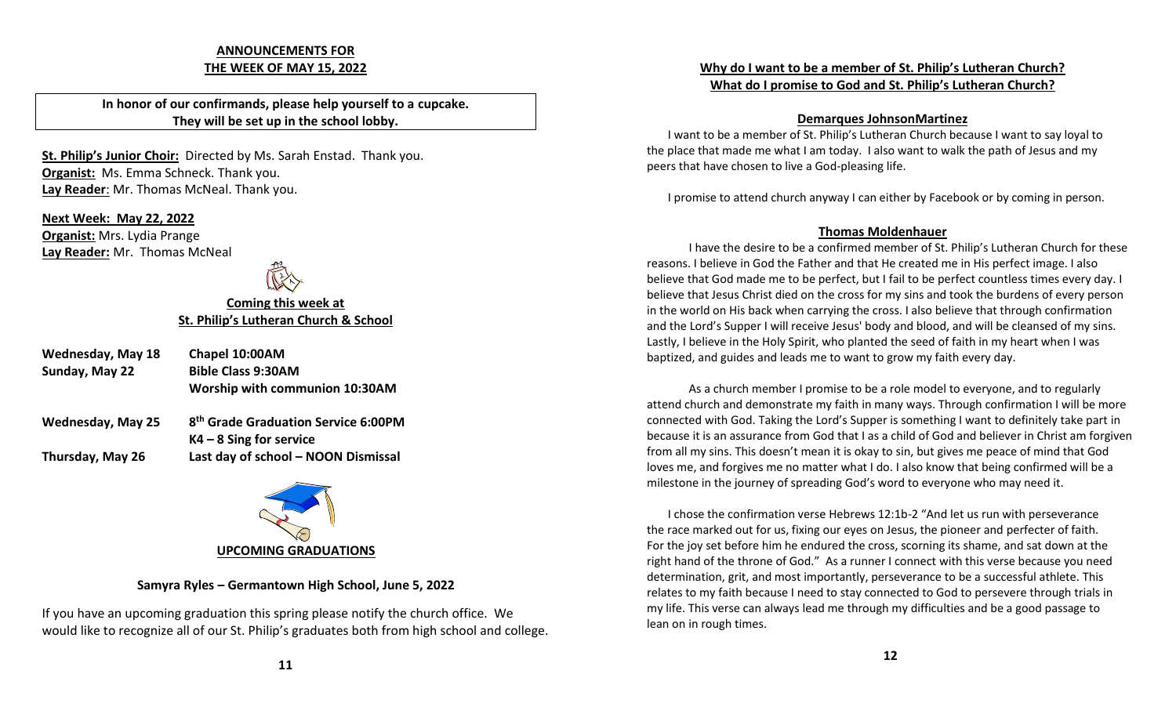## **ANNOUNCEMENTS FOR THE WEEK OF MAY 15, 2022**

**In honor of our confirmands, please help yourself to a cupcake. They will be set up in the school lobby.** 

**St. Philip's Junior Choir:** Directed by Ms. Sarah Enstad. Thank you. **Organist:** Ms. Emma Schneck. Thank you. **Lay Reader**: Mr. Thomas McNeal. Thank you.

**Next Week: May 22, 2022 Organist:** Mrs. Lydia Prange **Lay Reader:** Mr. Thomas McNeal

# **Coming this week at St. Philip's Lutheran Church & School**

- **Wednesday, May 18 Chapel 10:00AM Sunday, May 22 Bible Class 9:30AM Worship with communion 10:30AM**
- **Wednesday, May 25 th Grade Graduation Service 6:00PM K4 – 8 Sing for service Thursday, May 26 Last day of school – NOON Dismissal**



# **Samyra Ryles – Germantown High School, June 5, 2022**

If you have an upcoming graduation this spring please notify the church office. We would like to recognize all of our St. Philip's graduates both from high school and college.

# **Why do I want to be a member of St. Philip's Lutheran Church? What do I promise to God and St. Philip's Lutheran Church?**

## **Demarques JohnsonMartinez**

I want to be a member of St. Philip's Lutheran Church because I want to say loyal to the place that made me what I am today. I also want to walk the path of Jesus and my peers that have chosen to live a God-pleasing life.

I promise to attend church anyway I can either by Facebook or by coming in person.

# **Thomas Moldenhauer**

I have the desire to be a confirmed member of St. Philip's Lutheran Church for these reasons. I believe in God the Father and that He created me in His perfect image. I also believe that God made me to be perfect, but I fail to be perfect countless times every day. I believe that Jesus Christ died on the cross for my sins and took the burdens of every person in the world on His back when carrying the cross. I also believe that through confirmation and the Lord's Supper I will receive Jesus' body and blood, and will be cleansed of my sins. Lastly, I believe in the Holy Spirit, who planted the seed of faith in my heart when I was baptized, and guides and leads me to want to grow my faith every day.

As a church member I promise to be a role model to everyone, and to regularly attend church and demonstrate my faith in many ways. Through confirmation I will be more connected with God. Taking the Lord's Supper is something I want to definitely take part in because it is an assurance from God that I as a child of God and believer in Christ am forgiven from all my sins. This doesn't mean it is okay to sin, but gives me peace of mind that God loves me, and forgives me no matter what I do. I also know that being confirmed will be a milestone in the journey of spreading God's word to everyone who may need it.

I chose the confirmation verse Hebrews 12:1b-2 "And let us run with perseverance the race marked out for us, fixing our eyes on Jesus, the pioneer and perfecter of faith. For the joy set before him he endured the cross, scorning its shame, and sat down at the right hand of the throne of God." As a runner I connect with this verse because you need determination, grit, and most importantly, perseverance to be a successful athlete. This relates to my faith because I need to stay connected to God to persevere through trials in my life. This verse can always lead me through my difficulties and be a good passage to lean on in rough times.